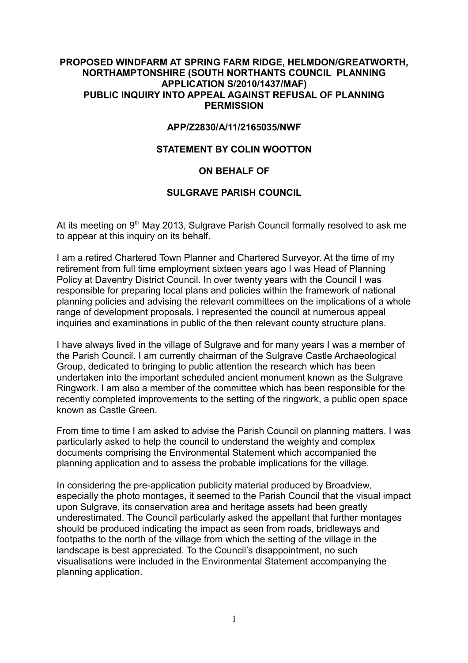## **PROPOSED WINDFARM AT SPRING FARM RIDGE, HELMDON/GREATWORTH, NORTHAMPTONSHIRE (SOUTH NORTHANTS COUNCIL PLANNING APPLICATION S/2010/1437/MAF) PUBLIC INQUIRY INTO APPEAL AGAINST REFUSAL OF PLANNING PERMISSION**

## **APP/Z2830/A/11/2165035/NWF**

## **STATEMENT BY COLIN WOOTTON**

# **ON BEHALF OF**

#### **SULGRAVE PARISH COUNCIL**

At its meeting on 9<sup>th</sup> May 2013, Sulgrave Parish Council formally resolved to ask me to appear at this inquiry on its behalf.

I am a retired Chartered Town Planner and Chartered Surveyor. At the time of my retirement from full time employment sixteen years ago I was Head of Planning Policy at Daventry District Council. In over twenty years with the Council I was responsible for preparing local plans and policies within the framework of national planning policies and advising the relevant committees on the implications of a whole range of development proposals. I represented the council at numerous appeal inquiries and examinations in public of the then relevant county structure plans.

I have always lived in the village of Sulgrave and for many years I was a member of the Parish Council. I am currently chairman of the Sulgrave Castle Archaeological Group, dedicated to bringing to public attention the research which has been undertaken into the important scheduled ancient monument known as the Sulgrave Ringwork. I am also a member of the committee which has been responsible for the recently completed improvements to the setting of the ringwork, a public open space known as Castle Green.

From time to time I am asked to advise the Parish Council on planning matters. I was particularly asked to help the council to understand the weighty and complex documents comprising the Environmental Statement which accompanied the planning application and to assess the probable implications for the village.

In considering the pre-application publicity material produced by Broadview, especially the photo montages, it seemed to the Parish Council that the visual impact upon Sulgrave, its conservation area and heritage assets had been greatly underestimated. The Council particularly asked the appellant that further montages should be produced indicating the impact as seen from roads, bridleways and footpaths to the north of the village from which the setting of the village in the landscape is best appreciated. To the Council's disappointment, no such visualisations were included in the Environmental Statement accompanying the planning application.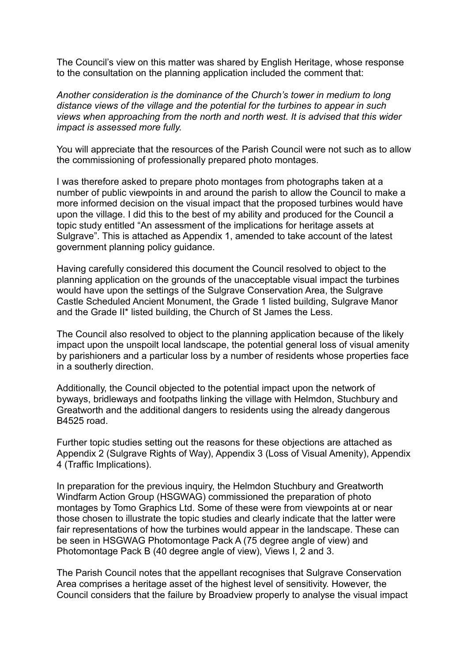The Council's view on this matter was shared by English Heritage, whose response to the consultation on the planning application included the comment that:

*Another consideration is the dominance of the Church's tower in medium to long distance views of the village and the potential for the turbines to appear in such views when approaching from the north and north west. It is advised that this wider impact is assessed more fully.*

You will appreciate that the resources of the Parish Council were not such as to allow the commissioning of professionally prepared photo montages.

I was therefore asked to prepare photo montages from photographs taken at a number of public viewpoints in and around the parish to allow the Council to make a more informed decision on the visual impact that the proposed turbines would have upon the village. I did this to the best of my ability and produced for the Council a topic study entitled "An assessment of the implications for heritage assets at Sulgrave". This is attached as Appendix 1, amended to take account of the latest government planning policy guidance.

Having carefully considered this document the Council resolved to object to the planning application on the grounds of the unacceptable visual impact the turbines would have upon the settings of the Sulgrave Conservation Area, the Sulgrave Castle Scheduled Ancient Monument, the Grade 1 listed building, Sulgrave Manor and the Grade II\* listed building, the Church of St James the Less.

The Council also resolved to object to the planning application because of the likely impact upon the unspoilt local landscape, the potential general loss of visual amenity by parishioners and a particular loss by a number of residents whose properties face in a southerly direction.

Additionally, the Council objected to the potential impact upon the network of byways, bridleways and footpaths linking the village with Helmdon, Stuchbury and Greatworth and the additional dangers to residents using the already dangerous B4525 road.

Further topic studies setting out the reasons for these objections are attached as Appendix 2 (Sulgrave Rights of Way), Appendix 3 (Loss of Visual Amenity), Appendix 4 (Traffic Implications).

In preparation for the previous inquiry, the Helmdon Stuchbury and Greatworth Windfarm Action Group (HSGWAG) commissioned the preparation of photo montages by Tomo Graphics Ltd. Some of these were from viewpoints at or near those chosen to illustrate the topic studies and clearly indicate that the latter were fair representations of how the turbines would appear in the landscape. These can be seen in HSGWAG Photomontage Pack A (75 degree angle of view) and Photomontage Pack B (40 degree angle of view), Views I, 2 and 3.

The Parish Council notes that the appellant recognises that Sulgrave Conservation Area comprises a heritage asset of the highest level of sensitivity. However, the Council considers that the failure by Broadview properly to analyse the visual impact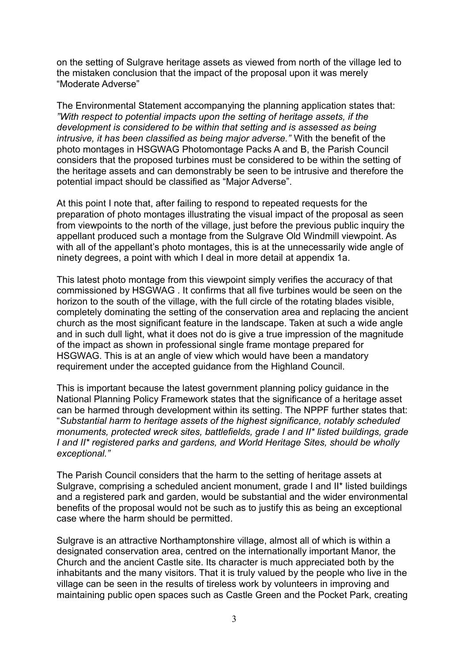on the setting of Sulgrave heritage assets as viewed from north of the village led to the mistaken conclusion that the impact of the proposal upon it was merely "Moderate Adverse"

The Environmental Statement accompanying the planning application states that: *"With respect to potential impacts upon the setting of heritage assets, if the development is considered to be within that setting and is assessed as being intrusive, it has been classified as being major adverse."* With the benefit of the photo montages in HSGWAG Photomontage Packs A and B, the Parish Council considers that the proposed turbines must be considered to be within the setting of the heritage assets and can demonstrably be seen to be intrusive and therefore the potential impact should be classified as "Major Adverse".

At this point I note that, after failing to respond to repeated requests for the preparation of photo montages illustrating the visual impact of the proposal as seen from viewpoints to the north of the village, just before the previous public inquiry the appellant produced such a montage from the Sulgrave Old Windmill viewpoint. As with all of the appellant's photo montages, this is at the unnecessarily wide angle of ninety degrees, a point with which I deal in more detail at appendix 1a.

This latest photo montage from this viewpoint simply verifies the accuracy of that commissioned by HSGWAG . It confirms that all five turbines would be seen on the horizon to the south of the village, with the full circle of the rotating blades visible, completely dominating the setting of the conservation area and replacing the ancient church as the most significant feature in the landscape. Taken at such a wide angle and in such dull light, what it does not do is give a true impression of the magnitude of the impact as shown in professional single frame montage prepared for HSGWAG. This is at an angle of view which would have been a mandatory requirement under the accepted guidance from the Highland Council.

This is important because the latest government planning policy guidance in the National Planning Policy Framework states that the significance of a heritage asset can be harmed through development within its setting. The NPPF further states that: "*Substantial harm to heritage assets of the highest significance, notably scheduled monuments, protected wreck sites, battlefields, grade I and II\* listed buildings, grade I and II\* registered parks and gardens, and World Heritage Sites, should be wholly exceptional."*

The Parish Council considers that the harm to the setting of heritage assets at Sulgrave, comprising a scheduled ancient monument, grade I and II\* listed buildings and a registered park and garden, would be substantial and the wider environmental benefits of the proposal would not be such as to justify this as being an exceptional case where the harm should be permitted.

Sulgrave is an attractive Northamptonshire village, almost all of which is within a designated conservation area, centred on the internationally important Manor, the Church and the ancient Castle site. Its character is much appreciated both by the inhabitants and the many visitors. That it is truly valued by the people who live in the village can be seen in the results of tireless work by volunteers in improving and maintaining public open spaces such as Castle Green and the Pocket Park, creating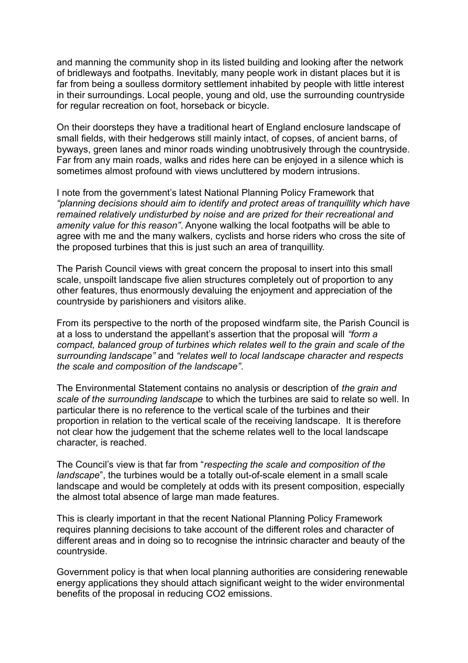and manning the community shop in its listed building and looking after the network of bridleways and footpaths. Inevitably, many people work in distant places but it is far from being a soulless dormitory settlement inhabited by people with little interest in their surroundings. Local people, young and old, use the surrounding countryside for regular recreation on foot, horseback or bicycle.

On their doorsteps they have a traditional heart of England enclosure landscape of small fields, with their hedgerows still mainly intact, of copses, of ancient barns, of byways, green lanes and minor roads winding unobtrusively through the countryside. Far from any main roads, walks and rides here can be enjoyed in a silence which is sometimes almost profound with views uncluttered by modern intrusions.

I note from the government's latest National Planning Policy Framework that *"planning decisions should aim to identify and protect areas of tranquillity which have remained relatively undisturbed by noise and are prized for their recreational and amenity value for this reason"*. Anyone walking the local footpaths will be able to agree with me and the many walkers, cyclists and horse riders who cross the site of the proposed turbines that this is just such an area of tranquillity.

The Parish Council views with great concern the proposal to insert into this small scale, unspoilt landscape five alien structures completely out of proportion to any other features, thus enormously devaluing the enjoyment and appreciation of the countryside by parishioners and visitors alike.

From its perspective to the north of the proposed windfarm site, the Parish Council is at a loss to understand the appellant's assertion that the proposal will *"form a compact, balanced group of turbines which relates well to the grain and scale of the surrounding landscape"* and *"relates well to local landscape character and respects the scale and composition of the landscape"*.

The Environmental Statement contains no analysis or description of *the grain and scale of the surrounding landscape* to which the turbines are said to relate so well. In particular there is no reference to the vertical scale of the turbines and their proportion in relation to the vertical scale of the receiving landscape. It is therefore not clear how the judgement that the scheme relates well to the local landscape character, is reached.

The Council's view is that far from "*respecting the scale and composition of the landscape*", the turbines would be a totally out-of-scale element in a small scale landscape and would be completely at odds with its present composition, especially the almost total absence of large man made features.

This is clearly important in that the recent National Planning Policy Framework requires planning decisions to take account of the different roles and character of different areas and in doing so to recognise the intrinsic character and beauty of the countryside.

Government policy is that when local planning authorities are considering renewable energy applications they should attach significant weight to the wider environmental benefits of the proposal in reducing CO2 emissions.